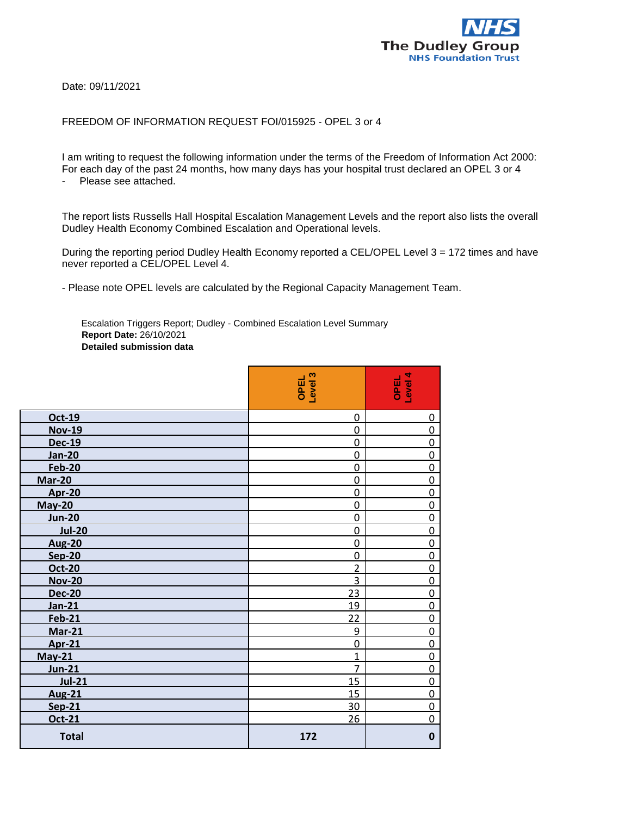

Date: 09/11/2021

## FREEDOM OF INFORMATION REQUEST FOI/015925 - OPEL 3 or 4

I am writing to request the following information under the terms of the Freedom of Information Act 2000: For each day of the past 24 months, how many days has your hospital trust declared an OPEL 3 or 4 - Please see attached.

The report lists Russells Hall Hospital Escalation Management Levels and the report also lists the overall Dudley Health Economy Combined Escalation and Operational levels.

During the reporting period Dudley Health Economy reported a CEL/OPEL Level 3 = 172 times and have never reported a CEL/OPEL Level 4.

- Please note OPEL levels are calculated by the Regional Capacity Management Team.

Escalation Triggers Report; Dudley - Combined Escalation Level Summary **Report Date:** 26/10/2021 **Detailed submission data**

|               | OPEL<br>Level 3 | OPEL<br>Level 4 |
|---------------|-----------------|-----------------|
| Oct-19        | 0               | 0               |
| <b>Nov-19</b> | 0               | $\mathbf 0$     |
| <b>Dec-19</b> | $\mathbf 0$     | 0               |
| <b>Jan-20</b> | $\mathbf 0$     | $\mathbf 0$     |
| <b>Feb-20</b> | 0               | $\mathbf 0$     |
| <b>Mar-20</b> | $\mathbf 0$     | $\mathbf 0$     |
| <b>Apr-20</b> | $\overline{0}$  | $\mathbf 0$     |
| <b>May-20</b> | $\mathbf 0$     | $\mathbf 0$     |
| <b>Jun-20</b> | $\mathbf 0$     | $\mathbf 0$     |
| <b>Jul-20</b> | $\mathbf 0$     | $\mathbf 0$     |
| <b>Aug-20</b> | 0               | 0               |
| <b>Sep-20</b> | $\mathbf 0$     | $\mathbf 0$     |
| Oct-20        | $\overline{2}$  | 0               |
| <b>Nov-20</b> | 3               | $\mathbf 0$     |
| <b>Dec-20</b> | 23              | $\mathbf 0$     |
| <b>Jan-21</b> | 19              | $\mathbf 0$     |
| <b>Feb-21</b> | 22              | $\mathbf 0$     |
| <b>Mar-21</b> | 9               | $\mathbf 0$     |
| <b>Apr-21</b> | 0               | $\mathbf 0$     |
| $May-21$      | 1               | $\mathbf 0$     |
| <b>Jun-21</b> | 7               | $\mathbf 0$     |
| <b>Jul-21</b> | 15              | $\overline{0}$  |
| <b>Aug-21</b> | 15              | $\mathbf 0$     |
| <b>Sep-21</b> | 30              | $\mathbf 0$     |
| Oct-21        | 26              | $\mathbf 0$     |
| <b>Total</b>  | 172             | $\mathbf 0$     |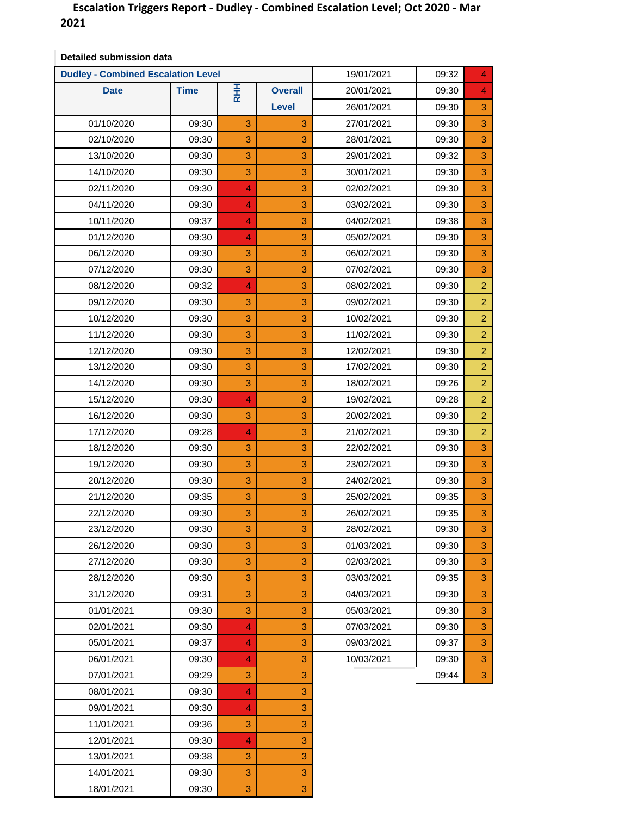## **Escalation Triggers Report - Dudley - Combined Escalation Level; Oct 2020 - Mar 2021**

|             | <b>Dudley - Combined Escalation Level</b> |                |                |            | 09:32 | 4 |
|-------------|-------------------------------------------|----------------|----------------|------------|-------|---|
| <b>Date</b> | <b>Time</b>                               | <b>RHH</b>     | <b>Overall</b> | 20/01/2021 | 09:30 | 4 |
|             |                                           |                | <b>Level</b>   | 26/01/2021 | 09:30 | 3 |
| 01/10/2020  | 09:30                                     | 3              | 3              | 27/01/2021 | 09:30 | 3 |
| 02/10/2020  | 09:30                                     | 3              | 3              | 28/01/2021 | 09:30 | 3 |
| 13/10/2020  | 09:30                                     | 3              | 3              | 29/01/2021 | 09:32 | 3 |
| 14/10/2020  | 09:30                                     | 3              | 3              | 30/01/2021 | 09:30 |   |
| 02/11/2020  | 09:30                                     | $\overline{4}$ | 3              | 02/02/2021 | 09:30 |   |
| 04/11/2020  | 09:30                                     | 4              | 3              | 03/02/2021 | 09:30 |   |
| 10/11/2020  | 09:37                                     | 4              | 3              | 04/02/2021 | 09:38 |   |
| 01/12/2020  | 09:30                                     | 4              | 3              | 05/02/2021 | 09:30 |   |
| 06/12/2020  | 09:30                                     | 3              | 3              | 06/02/2021 | 09:30 |   |
| 07/12/2020  | 09:30                                     | 3              | 3              | 07/02/2021 | 09:30 |   |
| 08/12/2020  | 09:32                                     | 4              | 3              | 08/02/2021 | 09:30 |   |
| 09/12/2020  | 09:30                                     | 3              | 3              | 09/02/2021 | 09:30 |   |
| 10/12/2020  | 09:30                                     | 3              | 3              | 10/02/2021 | 09:30 |   |
| 11/12/2020  | 09:30                                     | 3              | 3              | 11/02/2021 | 09:30 |   |
| 12/12/2020  | 09:30                                     | 3              | 3              | 12/02/2021 | 09:30 |   |
| 13/12/2020  | 09:30                                     | 3              | 3              | 17/02/2021 | 09:30 |   |
| 14/12/2020  | 09:30                                     | 3              | 3              | 18/02/2021 | 09:26 |   |
| 15/12/2020  | 09:30                                     | $\overline{4}$ | 3              | 19/02/2021 | 09:28 |   |
| 16/12/2020  | 09:30                                     | 3              | 3              | 20/02/2021 | 09:30 |   |
| 17/12/2020  | 09:28                                     | 4              | 3              | 21/02/2021 | 09:30 |   |
| 18/12/2020  | 09:30                                     | 3              | 3              | 22/02/2021 | 09:30 |   |
| 19/12/2020  | 09:30                                     | 3              | 3              | 23/02/2021 | 09:30 |   |
| 20/12/2020  | 09:30                                     | 3              | 3              | 24/02/2021 | 09:30 |   |
| 21/12/2020  | 09:35                                     | 3              | 3              | 25/02/2021 | 09:35 |   |
| 22/12/2020  | 09:30                                     | 3              | 3              | 26/02/2021 | 09:35 |   |
| 23/12/2020  | 09:30                                     | 3              | 3              | 28/02/2021 | 09:30 |   |
| 26/12/2020  | 09:30                                     | 3              | 3              | 01/03/2021 | 09:30 |   |
| 27/12/2020  | 09:30                                     | 3              | 3              | 02/03/2021 | 09:30 |   |
| 28/12/2020  | 09:30                                     | 3              | 3              | 03/03/2021 | 09:35 |   |
| 31/12/2020  | 09:31                                     | 3              | 3              | 04/03/2021 | 09:30 |   |
| 01/01/2021  | 09:30                                     | 3              | 3              | 05/03/2021 | 09:30 |   |
| 02/01/2021  | 09:30                                     | 4              | 3              | 07/03/2021 | 09:30 |   |
| 05/01/2021  | 09:37                                     | 4.             | 3              | 09/03/2021 | 09:37 |   |
| 06/01/2021  | 09:30                                     | 4              | 3              | 10/03/2021 | 09:30 |   |
| 07/01/2021  | 09:29                                     | 3              | 3              |            | 09:44 |   |
| 08/01/2021  | 09:30                                     | 4.             | 3              |            |       |   |
| 09/01/2021  | 09:30                                     | $\overline{4}$ | 3              |            |       |   |
| 11/01/2021  | 09:36                                     | 3              | 3              |            |       |   |
| 12/01/2021  | 09:30                                     | 4              | 3              |            |       |   |
| 13/01/2021  | 09:38                                     | 3              | 3              |            |       |   |
| 14/01/2021  | 09:30                                     | 3              | 3              |            |       |   |

18/01/2021 09:30 3 3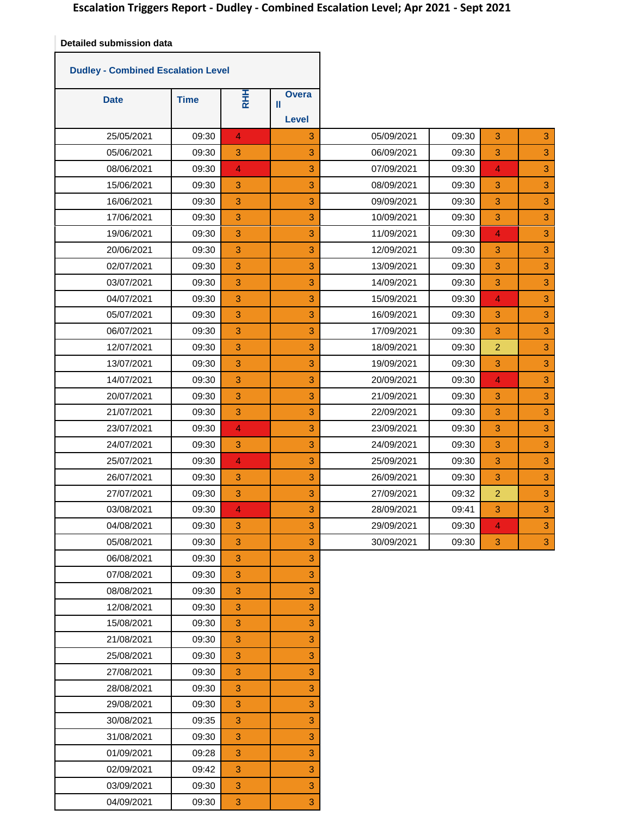٦

**Detailed submission data**

Т

|             | <b>Dudley - Combined Escalation Level</b> |                |                            |            |       |                           |    |
|-------------|-------------------------------------------|----------------|----------------------------|------------|-------|---------------------------|----|
| <b>Date</b> | <b>Time</b>                               | <b>RHH</b>     | <b>Overa</b><br>Ш<br>Level |            |       |                           |    |
| 25/05/2021  | 09:30                                     | $\overline{4}$ | 3                          | 05/09/2021 | 09:30 | $\ensuremath{\mathsf{3}}$ | 3  |
| 05/06/2021  | 09:30                                     | 3              | 3                          | 06/09/2021 | 09:30 | 3                         | 3  |
| 08/06/2021  | 09:30                                     | 4              | 3                          | 07/09/2021 | 09:30 | $\overline{4}$            | 3  |
| 15/06/2021  | 09:30                                     | 3              | 3                          | 08/09/2021 | 09:30 | 3                         | 3  |
| 16/06/2021  | 09:30                                     | 3              | 3                          | 09/09/2021 | 09:30 | $\ensuremath{\mathsf{3}}$ | 3  |
| 17/06/2021  | 09:30                                     | 3              | 3                          | 10/09/2021 | 09:30 | $\ensuremath{\mathsf{3}}$ | 3  |
| 19/06/2021  | 09:30                                     | 3              | 3                          | 11/09/2021 | 09:30 | $\overline{4}$            | 3  |
| 20/06/2021  | 09:30                                     | 3              | 3                          | 12/09/2021 | 09:30 | $\ensuremath{\mathsf{3}}$ | 3  |
| 02/07/2021  | 09:30                                     | 3              | 3                          | 13/09/2021 | 09:30 | $\ensuremath{\mathsf{3}}$ | 3  |
| 03/07/2021  | 09:30                                     | 3              | 3                          | 14/09/2021 | 09:30 | 3                         | 3  |
| 04/07/2021  | 09:30                                     | 3              | 3                          | 15/09/2021 | 09:30 | $\overline{4}$            | 3  |
| 05/07/2021  | 09:30                                     | 3              | 3                          | 16/09/2021 | 09:30 | 3                         | 3  |
| 06/07/2021  | 09:30                                     | 3              | 3                          | 17/09/2021 | 09:30 | $\ensuremath{\mathsf{3}}$ | 3  |
| 12/07/2021  | 09:30                                     | 3              | 3                          | 18/09/2021 | 09:30 | $\overline{c}$            | 3  |
| 13/07/2021  | 09:30                                     | 3              | 3                          | 19/09/2021 | 09:30 | 3                         | 3  |
| 14/07/2021  | 09:30                                     | 3              | 3                          | 20/09/2021 | 09:30 | $\overline{4}$            | 3  |
| 20/07/2021  | 09:30                                     | 3              | 3                          | 21/09/2021 | 09:30 | 3                         | 3  |
| 21/07/2021  | 09:30                                     | 3              | 3                          | 22/09/2021 | 09:30 | $\ensuremath{\mathsf{3}}$ | 3  |
| 23/07/2021  | 09:30                                     | $\overline{4}$ | 3                          | 23/09/2021 | 09:30 | $\ensuremath{\mathsf{3}}$ | 3  |
| 24/07/2021  | 09:30                                     | 3              | 3                          | 24/09/2021 | 09:30 | 3                         | 3  |
| 25/07/2021  | 09:30                                     | $\overline{4}$ | 3                          | 25/09/2021 | 09:30 | 3                         | 3  |
| 26/07/2021  | 09:30                                     | 3              | 3                          | 26/09/2021 | 09:30 | 3                         | 3  |
| 27/07/2021  | 09:30                                     | 3              | 3                          | 27/09/2021 | 09:32 | $\overline{2}$            | 3  |
| 03/08/2021  | 09:30                                     | $\overline{4}$ | 3                          | 28/09/2021 | 09:41 | $\ensuremath{\mathsf{3}}$ | 3  |
| 04/08/2021  | 09:30                                     | з              | 3                          | 29/09/2021 | 09:30 | 4                         | 3. |
| 05/08/2021  | 09:30                                     | 3              | 3                          | 30/09/2021 | 09:30 | 3                         | 3  |
| 06/08/2021  | 09:30                                     | $\sqrt{3}$     | 3                          |            |       |                           |    |
| 07/08/2021  | 09:30                                     | 3              | 3                          |            |       |                           |    |
| 08/08/2021  | 09:30                                     | 3              | 3                          |            |       |                           |    |
| 12/08/2021  | 09:30                                     | 3              | 3                          |            |       |                           |    |
| 15/08/2021  | 09:30                                     | $\mathbf{3}$   | 3                          |            |       |                           |    |
| 21/08/2021  | 09:30                                     | 3              | 3                          |            |       |                           |    |
| 25/08/2021  | 09:30                                     | 3              | 3                          |            |       |                           |    |
| 27/08/2021  | 09:30                                     | 3              | 3                          |            |       |                           |    |
| 28/08/2021  | 09:30                                     | $\sqrt{3}$     | 3                          |            |       |                           |    |
| 29/08/2021  | 09:30                                     | 3              | 3                          |            |       |                           |    |
| 30/08/2021  | 09:35                                     | 3              | 3                          |            |       |                           |    |
| 31/08/2021  | 09:30                                     | 3              | 3                          |            |       |                           |    |
| 01/09/2021  | 09:28                                     | $\sqrt{3}$     | 3                          |            |       |                           |    |
| 02/09/2021  | 09:42                                     | 3              | 3                          |            |       |                           |    |
| 03/09/2021  | 09:30                                     | 3              | 3                          |            |       |                           |    |
| 04/09/2021  | 09:30                                     | $\mathbf{3}$   | 3                          |            |       |                           |    |